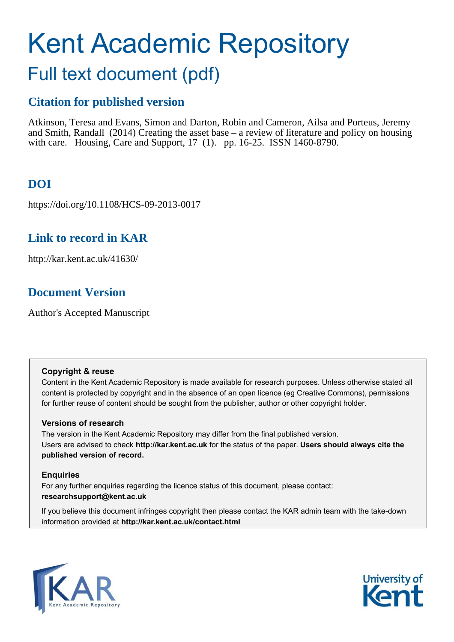# Kent Academic Repository

## Full text document (pdf)

## **Citation for published version**

Atkinson, Teresa and Evans, Simon and Darton, Robin and Cameron, Ailsa and Porteus, Jeremy and Smith, Randall (2014) Creating the asset base – a review of literature and policy on housing with care. Housing, Care and Support, 17 (1). pp. 16-25. ISSN 1460-8790.

## **DOI**

https://doi.org/10.1108/HCS-09-2013-0017

## **Link to record in KAR**

http://kar.kent.ac.uk/41630/

## **Document Version**

Author's Accepted Manuscript

#### **Copyright & reuse**

Content in the Kent Academic Repository is made available for research purposes. Unless otherwise stated all content is protected by copyright and in the absence of an open licence (eg Creative Commons), permissions for further reuse of content should be sought from the publisher, author or other copyright holder.

#### **Versions of research**

The version in the Kent Academic Repository may differ from the final published version. Users are advised to check **http://kar.kent.ac.uk** for the status of the paper. **Users should always cite the published version of record.**

#### **Enquiries**

For any further enquiries regarding the licence status of this document, please contact: **researchsupport@kent.ac.uk**

If you believe this document infringes copyright then please contact the KAR admin team with the take-down information provided at **http://kar.kent.ac.uk/contact.html**



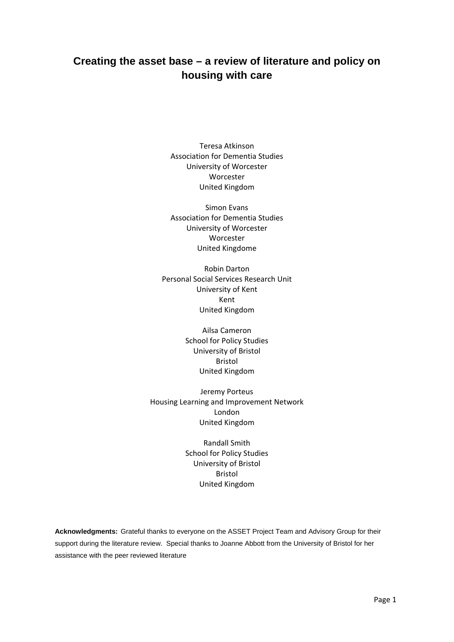### **Creating the asset base – a review of literature and policy on housing with care**

Teresa Atkinson Association for Dementia Studies University of Worcester Worcester United Kingdom

Simon Evans Association for Dementia Studies University of Worcester Worcester United Kingdome

Robin Darton Personal Social Services Research Unit University of Kent Kent United Kingdom

> Ailsa Cameron School for Policy Studies University of Bristol Bristol United Kingdom

Jeremy Porteus Housing Learning and Improvement Network London United Kingdom

> Randall Smith School for Policy Studies University of Bristol Bristol United Kingdom

**Acknowledgments:** Grateful thanks to everyone on the ASSET Project Team and Advisory Group for their support during the literature review. Special thanks to Joanne Abbott from the University of Bristol for her assistance with the peer reviewed literature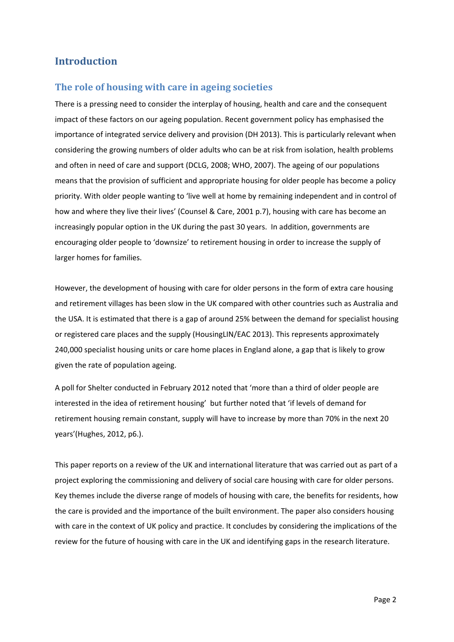#### **Introduction**

#### **The role of housing with care in ageing societies**

There is a pressing need to consider the interplay of housing, health and care and the consequent impact of these factors on our ageing population. Recent government policy has emphasised the importance of integrated service delivery and provision (DH 2013). This is particularly relevant when considering the growing numbers of older adults who can be at risk from isolation, health problems and often in need of care and support (DCLG, 2008; WHO, 2007). The ageing of our populations means that the provision of sufficient and appropriate housing for older people has become a policy priority. With older people wanting to 'live well at home by remaining independent and in control of how and where they live their lives' (Counsel & Care, 2001 p.7), housing with care has become an increasingly popular option in the UK during the past 30 years. In addition, governments are encouraging older people to 'downsize' to retirement housing in order to increase the supply of larger homes for families.

However, the development of housing with care for older persons in the form of extra care housing and retirement villages has been slow in the UK compared with other countries such as Australia and the USA. It is estimated that there is a gap of around 25% between the demand for specialist housing or registered care places and the supply (HousingLIN/EAC 2013). This represents approximately 240,000 specialist housing units or care home places in England alone, a gap that is likely to grow given the rate of population ageing.

A poll for Shelter conducted in February 2012 noted that 'more than a third of older people are interested in the idea of retirement housing' but further noted that 'if levels of demand for retirement housing remain constant, supply will have to increase by more than 70% in the next 20 yearsí(Hughes, 2012, p6.).

This paper reports on a review of the UK and international literature that was carried out as part of a project exploring the commissioning and delivery of social care housing with care for older persons. Key themes include the diverse range of models of housing with care, the benefits for residents, how the care is provided and the importance of the built environment. The paper also considers housing with care in the context of UK policy and practice. It concludes by considering the implications of the review for the future of housing with care in the UK and identifying gaps in the research literature.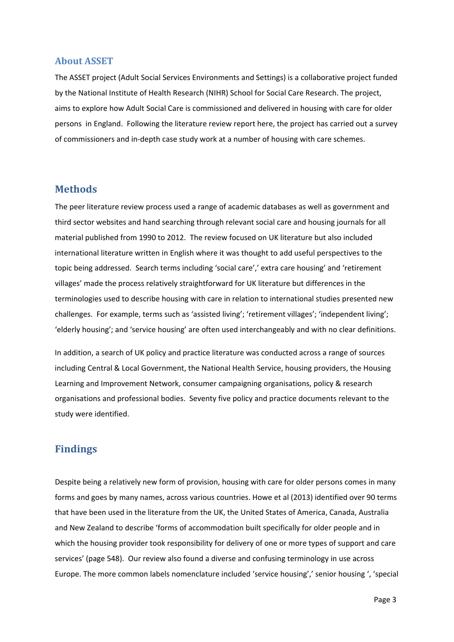#### **About ASSET**

The ASSET project (Adult Social Services Environments and Settings) is a collaborative project funded by the National Institute of Health Research (NIHR) School for Social Care Research. The project, aims to explore how Adult Social Care is commissioned and delivered in housing with care for older persons in England. Following the literature review report here, the project has carried out a survey of commissioners and in-depth case study work at a number of housing with care schemes.

#### **Methods**

The peer literature review process used a range of academic databases as well as government and third sector websites and hand searching through relevant social care and housing journals for all material published from 1990 to 2012. The review focused on UK literature but also included international literature written in English where it was thought to add useful perspectives to the topic being addressed. Search terms including 'social care',' extra care housing' and 'retirement villagesí made the process relatively straightforward for UK literature but differences in the terminologies used to describe housing with care in relation to international studies presented new challenges. For example, terms such as 'assisted living'; 'retirement villages'; 'independent living'; ëelderly housingí; and ëservice housingí are often used interchangeably and with no clear definitions.

In addition, a search of UK policy and practice literature was conducted across a range of sources including Central & Local Government, the National Health Service, housing providers, the Housing Learning and Improvement Network, consumer campaigning organisations, policy & research organisations and professional bodies. Seventy five policy and practice documents relevant to the study were identified.

#### **Findings**

Despite being a relatively new form of provision, housing with care for older persons comes in many forms and goes by many names, across various countries. Howe et al (2013) identified over 90 terms that have been used in the literature from the UK, the United States of America, Canada, Australia and New Zealand to describe ëforms of accommodation built specifically for older people and in which the housing provider took responsibility for delivery of one or more types of support and care services' (page 548). Our review also found a diverse and confusing terminology in use across Europe. The more common labels nomenclature included 'service housing',' senior housing ', 'special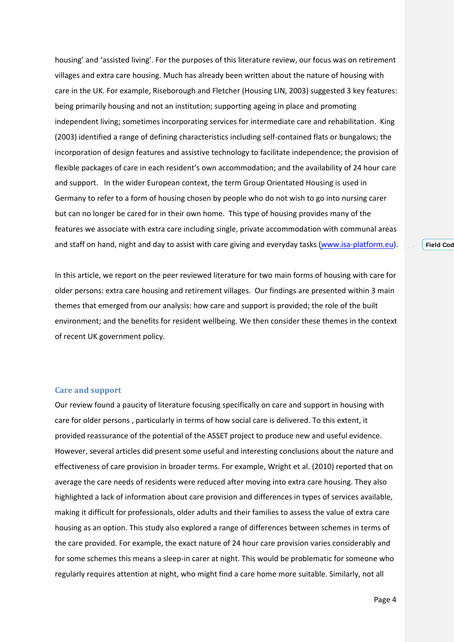housing' and 'assisted living'. For the purposes of this literature review, our focus was on retirement villages and extra care housing. Much has already been written about the nature of housing with care in the UK. For example, Riseborough and Fletcher (Housing LIN, 2003) suggested 3 key features: being primarily housing and not an institution; supporting ageing in place and promoting independent living; sometimes incorporating services for intermediate care and rehabilitation. King (2003) identified a range of defining characteristics including self-contained flats or bungalows; the incorporation of design features and assistive technology to facilitate independence; the provision of flexible packages of care in each resident's own accommodation; and the availability of 24 hour care and support. In the wider European context, the term Group Orientated Housing is used in Germany to refer to a form of housing chosen by people who do not wish to go into nursing carer but can no longer be cared for in their own home. This type of housing provides many of the features we associate with extra care including single, private accommodation with communal areas and staff on hand, night and day to assist with care giving and everyday tasks (www.isa-platform.eu).

In this article, we report on the peer reviewed literature for two main forms of housing with care for older persons: extra care housing and retirement villages. Our findings are presented within 3 main themes that emerged from our analysis: how care and support is provided; the role of the built environment; and the benefits for resident wellbeing. We then consider these themes in the context of recent UK government policy.

#### **Care and support**

Our review found a paucity of literature focusing specifically on care and support in housing with care for older persons , particularly in terms of how social care is delivered. To this extent, it provided reassurance of the potential of the ASSET project to produce new and useful evidence. However, several articles did present some useful and interesting conclusions about the nature and effectiveness of care provision in broader terms. For example, Wright et al. (2010) reported that on average the care needs of residents were reduced after moving into extra care housing. They also highlighted a lack of information about care provision and differences in types of services available, making it difficult for professionals, older adults and their families to assess the value of extra care housing as an option. This study also explored a range of differences between schemes in terms of the care provided. For example, the exact nature of 24 hour care provision varies considerably and for some schemes this means a sleep-in carer at night. This would be problematic for someone who regularly requires attention at night, who might find a care home more suitable. Similarly, not all

**Field Cod**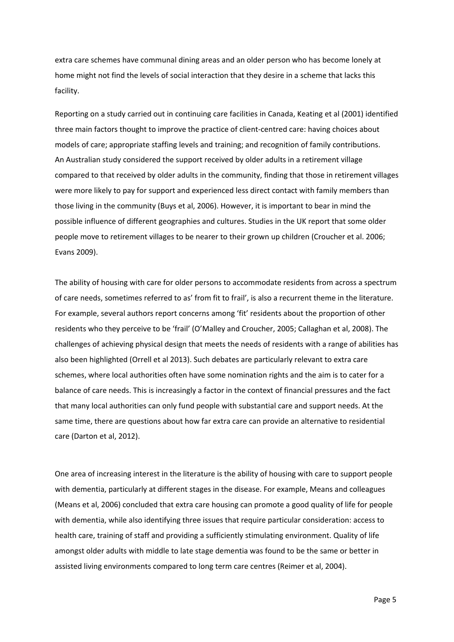extra care schemes have communal dining areas and an older person who has become lonely at home might not find the levels of social interaction that they desire in a scheme that lacks this facility.

Reporting on a study carried out in continuing care facilities in Canada, Keating et al (2001) identified three main factors thought to improve the practice of client-centred care: having choices about models of care; appropriate staffing levels and training; and recognition of family contributions. An Australian study considered the support received by older adults in a retirement village compared to that received by older adults in the community, finding that those in retirement villages were more likely to pay for support and experienced less direct contact with family members than those living in the community (Buys et al, 2006). However, it is important to bear in mind the possible influence of different geographies and cultures. Studies in the UK report that some older people move to retirement villages to be nearer to their grown up children (Croucher et al. 2006; Evans 2009).

The ability of housing with care for older persons to accommodate residents from across a spectrum of care needs, sometimes referred to as' from fit to frail', is also a recurrent theme in the literature. For example, several authors report concerns among 'fit' residents about the proportion of other residents who they perceive to be 'frail' (O'Malley and Croucher, 2005; Callaghan et al, 2008). The challenges of achieving physical design that meets the needs of residents with a range of abilities has also been highlighted (Orrell et al 2013). Such debates are particularly relevant to extra care schemes, where local authorities often have some nomination rights and the aim is to cater for a balance of care needs. This is increasingly a factor in the context of financial pressures and the fact that many local authorities can only fund people with substantial care and support needs. At the same time, there are questions about how far extra care can provide an alternative to residential care (Darton et al, 2012).

One area of increasing interest in the literature is the ability of housing with care to support people with dementia, particularly at different stages in the disease. For example, Means and colleagues (Means et al, 2006) concluded that extra care housing can promote a good quality of life for people with dementia, while also identifying three issues that require particular consideration: access to health care, training of staff and providing a sufficiently stimulating environment. Quality of life amongst older adults with middle to late stage dementia was found to be the same or better in assisted living environments compared to long term care centres (Reimer et al, 2004).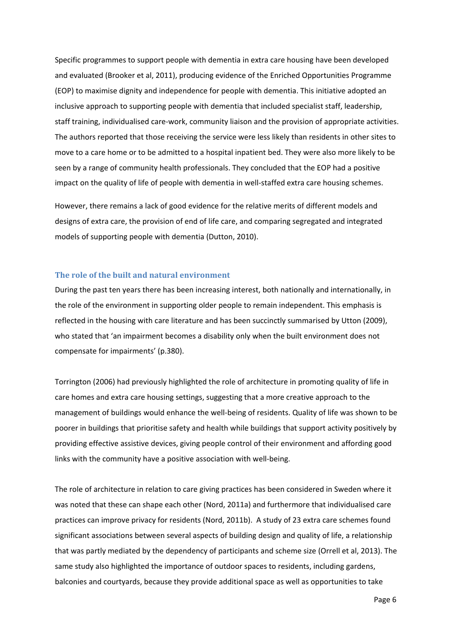Specific programmes to support people with dementia in extra care housing have been developed and evaluated (Brooker et al, 2011), producing evidence of the Enriched Opportunities Programme (EOP) to maximise dignity and independence for people with dementia. This initiative adopted an inclusive approach to supporting people with dementia that included specialist staff, leadership, staff training, individualised care-work, community liaison and the provision of appropriate activities. The authors reported that those receiving the service were less likely than residents in other sites to move to a care home or to be admitted to a hospital inpatient bed. They were also more likely to be seen by a range of community health professionals. They concluded that the EOP had a positive impact on the quality of life of people with dementia in well-staffed extra care housing schemes.

However, there remains a lack of good evidence for the relative merits of different models and designs of extra care, the provision of end of life care, and comparing segregated and integrated models of supporting people with dementia (Dutton, 2010).

#### **The role of the built and natural environment**

During the past ten years there has been increasing interest, both nationally and internationally, in the role of the environment in supporting older people to remain independent. This emphasis is reflected in the housing with care literature and has been succinctly summarised by Utton (2009), who stated that ëan impairment becomes a disability only when the built environment does not compensate for impairments' (p.380).

Torrington (2006) had previously highlighted the role of architecture in promoting quality of life in care homes and extra care housing settings, suggesting that a more creative approach to the management of buildings would enhance the well-being of residents. Quality of life was shown to be poorer in buildings that prioritise safety and health while buildings that support activity positively by providing effective assistive devices, giving people control of their environment and affording good links with the community have a positive association with well-being.

The role of architecture in relation to care giving practices has been considered in Sweden where it was noted that these can shape each other (Nord, 2011a) and furthermore that individualised care practices can improve privacy for residents (Nord, 2011b). A study of 23 extra care schemes found significant associations between several aspects of building design and quality of life, a relationship that was partly mediated by the dependency of participants and scheme size (Orrell et al, 2013). The same study also highlighted the importance of outdoor spaces to residents, including gardens, balconies and courtyards, because they provide additional space as well as opportunities to take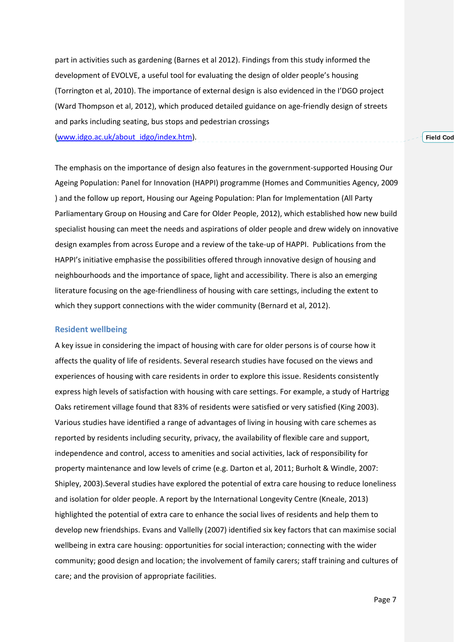part in activities such as gardening (Barnes et al 2012). Findings from this study informed the development of EVOLVE, a useful tool for evaluating the design of older people's housing (Torrington et al, 2010). The importance of external design is also evidenced in the IíDGO project (Ward Thompson et al, 2012), which produced detailed guidance on age-friendly design of streets and parks including seating, bus stops and pedestrian crossings (www.idgo.ac.uk/about\_idgo/index.htm).

**Field Cod**

The emphasis on the importance of design also features in the government-supported Housing Our Ageing Population: Panel for Innovation (HAPPI) programme (Homes and Communities Agency, 2009 ) and the follow up report, Housing our Ageing Population: Plan for Implementation (All Party Parliamentary Group on Housing and Care for Older People, 2012), which established how new build specialist housing can meet the needs and aspirations of older people and drew widely on innovative design examples from across Europe and a review of the take-up of HAPPI. Publications from the HAPPI's initiative emphasise the possibilities offered through innovative design of housing and neighbourhoods and the importance of space, light and accessibility. There is also an emerging literature focusing on the age-friendliness of housing with care settings, including the extent to which they support connections with the wider community (Bernard et al, 2012).

#### **Resident wellbeing**

A key issue in considering the impact of housing with care for older persons is of course how it affects the quality of life of residents. Several research studies have focused on the views and experiences of housing with care residents in order to explore this issue. Residents consistently express high levels of satisfaction with housing with care settings. For example, a study of Hartrigg Oaks retirement village found that 83% of residents were satisfied or very satisfied (King 2003). Various studies have identified a range of advantages of living in housing with care schemes as reported by residents including security, privacy, the availability of flexible care and support, independence and control, access to amenities and social activities, lack of responsibility for property maintenance and low levels of crime (e.g. Darton et al, 2011; Burholt & Windle, 2007: Shipley, 2003).Several studies have explored the potential of extra care housing to reduce loneliness and isolation for older people. A report by the International Longevity Centre (Kneale, 2013) highlighted the potential of extra care to enhance the social lives of residents and help them to develop new friendships. Evans and Vallelly (2007) identified six key factors that can maximise social wellbeing in extra care housing: opportunities for social interaction; connecting with the wider community; good design and location; the involvement of family carers; staff training and cultures of care; and the provision of appropriate facilities.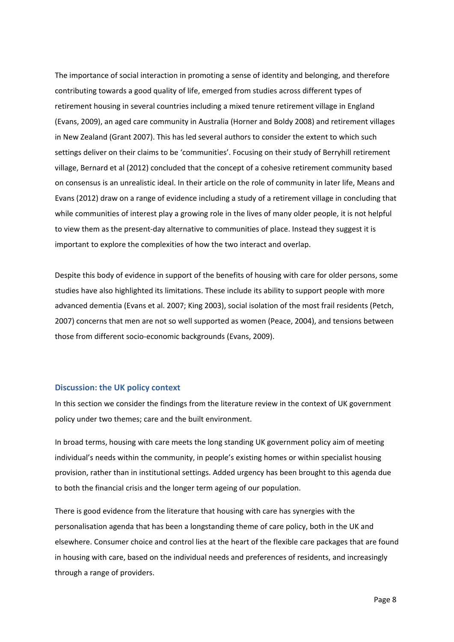The importance of social interaction in promoting a sense of identity and belonging, and therefore contributing towards a good quality of life, emerged from studies across different types of retirement housing in several countries including a mixed tenure retirement village in England (Evans, 2009), an aged care community in Australia (Horner and Boldy 2008) and retirement villages in New Zealand (Grant 2007). This has led several authors to consider the extent to which such settings deliver on their claims to be 'communities'. Focusing on their study of Berryhill retirement village, Bernard et al (2012) concluded that the concept of a cohesive retirement community based on consensus is an unrealistic ideal. In their article on the role of community in later life, Means and Evans (2012) draw on a range of evidence including a study of a retirement village in concluding that while communities of interest play a growing role in the lives of many older people, it is not helpful to view them as the present-day alternative to communities of place. Instead they suggest it is important to explore the complexities of how the two interact and overlap.

Despite this body of evidence in support of the benefits of housing with care for older persons, some studies have also highlighted its limitations. These include its ability to support people with more advanced dementia (Evans et al. 2007; King 2003), social isolation of the most frail residents (Petch, 2007) concerns that men are not so well supported as women (Peace, 2004), and tensions between those from different socio-economic backgrounds (Evans, 2009).

#### **Discussion: the UK policy context**

In this section we consider the findings from the literature review in the context of UK government policy under two themes; care and the built environment.

In broad terms, housing with care meets the long standing UK government policy aim of meeting individual's needs within the community, in people's existing homes or within specialist housing provision, rather than in institutional settings. Added urgency has been brought to this agenda due to both the financial crisis and the longer term ageing of our population.

There is good evidence from the literature that housing with care has synergies with the personalisation agenda that has been a longstanding theme of care policy, both in the UK and elsewhere. Consumer choice and control lies at the heart of the flexible care packages that are found in housing with care, based on the individual needs and preferences of residents, and increasingly through a range of providers.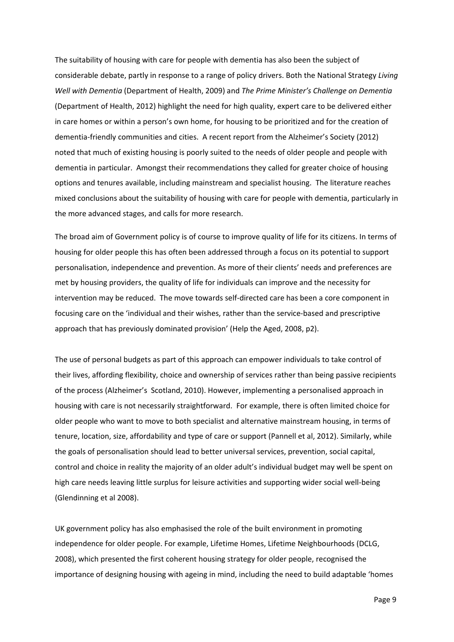The suitability of housing with care for people with dementia has also been the subject of considerable debate, partly in response to a range of policy drivers. Both the National Strategy *Living Well with Dementia* (Department of Health, 2009) and *The Prime Ministerís Challenge on Dementia* (Department of Health, 2012) highlight the need for high quality, expert care to be delivered either in care homes or within a person's own home, for housing to be prioritized and for the creation of dementia-friendly communities and cities. A recent report from the Alzheimer's Society (2012) noted that much of existing housing is poorly suited to the needs of older people and people with dementia in particular. Amongst their recommendations they called for greater choice of housing options and tenures available, including mainstream and specialist housing. The literature reaches mixed conclusions about the suitability of housing with care for people with dementia, particularly in the more advanced stages, and calls for more research.

The broad aim of Government policy is of course to improve quality of life for its citizens. In terms of housing for older people this has often been addressed through a focus on its potential to support personalisation, independence and prevention. As more of their clientsí needs and preferences are met by housing providers, the quality of life for individuals can improve and the necessity for intervention may be reduced. The move towards self-directed care has been a core component in focusing care on the 'individual and their wishes, rather than the service-based and prescriptive approach that has previously dominated provision' (Help the Aged, 2008, p2).

The use of personal budgets as part of this approach can empower individuals to take control of their lives, affording flexibility, choice and ownership of services rather than being passive recipients of the process (Alzheimerís Scotland, 2010). However, implementing a personalised approach in housing with care is not necessarily straightforward. For example, there is often limited choice for older people who want to move to both specialist and alternative mainstream housing, in terms of tenure, location, size, affordability and type of care or support (Pannell et al, 2012). Similarly, while the goals of personalisation should lead to better universal services, prevention, social capital, control and choice in reality the majority of an older adult's individual budget may well be spent on high care needs leaving little surplus for leisure activities and supporting wider social well-being (Glendinning et al 2008).

UK government policy has also emphasised the role of the built environment in promoting independence for older people. For example, Lifetime Homes, Lifetime Neighbourhoods (DCLG, 2008), which presented the first coherent housing strategy for older people, recognised the importance of designing housing with ageing in mind, including the need to build adaptable 'homes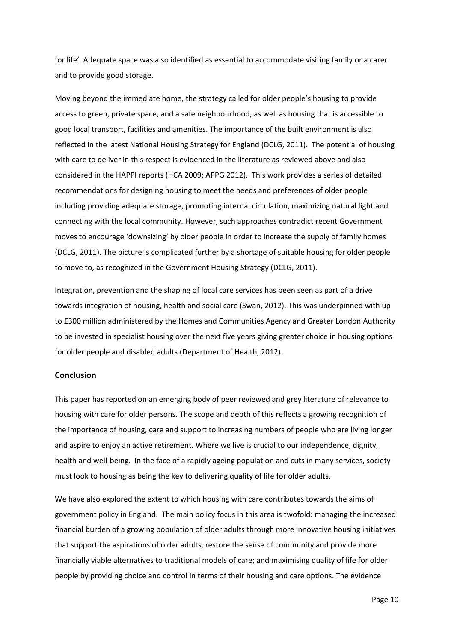for life'. Adequate space was also identified as essential to accommodate visiting family or a carer and to provide good storage.

Moving beyond the immediate home, the strategy called for older people's housing to provide access to green, private space, and a safe neighbourhood, as well as housing that is accessible to good local transport, facilities and amenities. The importance of the built environment is also reflected in the latest National Housing Strategy for England (DCLG, 2011). The potential of housing with care to deliver in this respect is evidenced in the literature as reviewed above and also considered in the HAPPI reports (HCA 2009; APPG 2012). This work provides a series of detailed recommendations for designing housing to meet the needs and preferences of older people including providing adequate storage, promoting internal circulation, maximizing natural light and connecting with the local community. However, such approaches contradict recent Government moves to encourage ëdownsizingí by older people in order to increase the supply of family homes (DCLG, 2011). The picture is complicated further by a shortage of suitable housing for older people to move to, as recognized in the Government Housing Strategy (DCLG, 2011).

Integration, prevention and the shaping of local care services has been seen as part of a drive towards integration of housing, health and social care (Swan, 2012). This was underpinned with up to £300 million administered by the Homes and Communities Agency and Greater London Authority to be invested in specialist housing over the next five years giving greater choice in housing options for older people and disabled adults (Department of Health, 2012).

#### **Conclusion**

This paper has reported on an emerging body of peer reviewed and grey literature of relevance to housing with care for older persons. The scope and depth of this reflects a growing recognition of the importance of housing, care and support to increasing numbers of people who are living longer and aspire to enjoy an active retirement. Where we live is crucial to our independence, dignity, health and well-being. In the face of a rapidly ageing population and cuts in many services, society must look to housing as being the key to delivering quality of life for older adults.

We have also explored the extent to which housing with care contributes towards the aims of government policy in England. The main policy focus in this area is twofold: managing the increased financial burden of a growing population of older adults through more innovative housing initiatives that support the aspirations of older adults, restore the sense of community and provide more financially viable alternatives to traditional models of care; and maximising quality of life for older people by providing choice and control in terms of their housing and care options. The evidence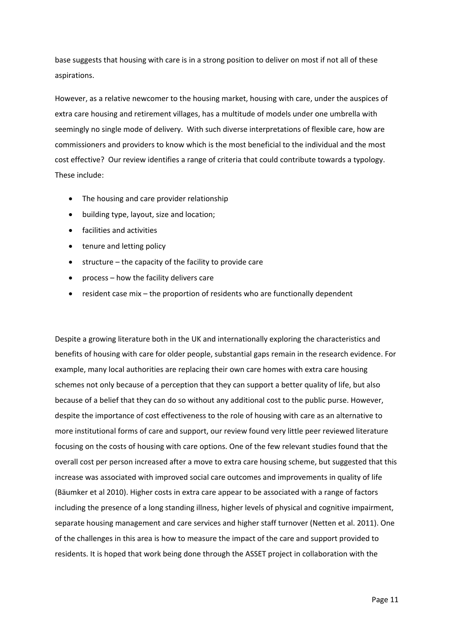base suggests that housing with care is in a strong position to deliver on most if not all of these aspirations.

However, as a relative newcomer to the housing market, housing with care, under the auspices of extra care housing and retirement villages, has a multitude of models under one umbrella with seemingly no single mode of delivery. With such diverse interpretations of flexible care, how are commissioners and providers to know which is the most beneficial to the individual and the most cost effective? Our review identifies a range of criteria that could contribute towards a typology. These include:

- The housing and care provider relationship
- building type, layout, size and location;
- facilities and activities
- tenure and letting policy
- $\bullet$  structure the capacity of the facility to provide care
- process  $-$  how the facility delivers care
- resident case mix the proportion of residents who are functionally dependent

Despite a growing literature both in the UK and internationally exploring the characteristics and benefits of housing with care for older people, substantial gaps remain in the research evidence. For example, many local authorities are replacing their own care homes with extra care housing schemes not only because of a perception that they can support a better quality of life, but also because of a belief that they can do so without any additional cost to the public purse. However, despite the importance of cost effectiveness to the role of housing with care as an alternative to more institutional forms of care and support, our review found very little peer reviewed literature focusing on the costs of housing with care options. One of the few relevant studies found that the overall cost per person increased after a move to extra care housing scheme, but suggested that this increase was associated with improved social care outcomes and improvements in quality of life (B‰umker et al 2010). Higher costs in extra care appear to be associated with a range of factors including the presence of a long standing illness, higher levels of physical and cognitive impairment, separate housing management and care services and higher staff turnover (Netten et al. 2011). One of the challenges in this area is how to measure the impact of the care and support provided to residents. It is hoped that work being done through the ASSET project in collaboration with the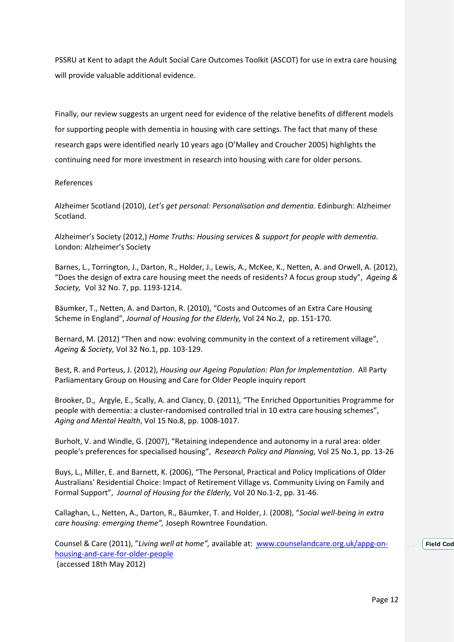PSSRU at Kent to adapt the Adult Social Care Outcomes Toolkit (ASCOT) for use in extra care housing will provide valuable additional evidence.

Finally, our review suggests an urgent need for evidence of the relative benefits of different models for supporting people with dementia in housing with care settings. The fact that many of these research gaps were identified nearly 10 years ago (O'Malley and Croucher 2005) highlights the continuing need for more investment in research into housing with care for older persons.

#### References

Alzheimer Scotland (2010), Let's get personal: Personalisation and dementia. Edinburgh: Alzheimer Scotland.

Alzheimer's Society (2012,) Home Truths: Housing services & support for people with dementia. London: Alzheimer's Society

Barnes, L., Torrington, J., Darton, R., Holder, J., Lewis, A., McKee, K., Netten, A. and Orwell, A. (2012), "Does the design of extra care housing meet the needs of residents? A focus group study", Ageing & Society, Vol 32 No. 7, pp. 1193-1214.

Bäumker, T., Netten, A. and Darton, R. (2010), "Costs and Outcomes of an Extra Care Housing Scheme in England", Journal of Housing for the Elderly, Vol 24 No.2, pp. 151-170.

Bernard, M. (2012) "Then and now: evolving community in the context of a retirement village", Ageing & Society, Vol 32 No.1, pp. 103-129.

Best, R. and Porteus, J. (2012), Housing our Ageing Population: Plan for Implementation. All Party Parliamentary Group on Housing and Care for Older People inquiry report

Brooker, D., Argyle, E., Scally, A. and Clancy, D. (2011), "The Enriched Opportunities Programme for people with dementia: a cluster-randomised controlled trial in 10 extra care housing schemes", Aging and Mental Health, Vol 15 No.8, pp. 1008-1017.

Burholt, V. and Windle, G. (2007), "Retaining independence and autonomy in a rural area: older people's preferences for specialised housing", Research Policy and Planning, Vol 25 No.1, pp. 13-26

Buys, L., Miller, E. and Barnett, K. (2006), "The Personal, Practical and Policy Implications of Older Australians' Residential Choice: Impact of Retirement Village vs. Community Living on Family and Formal Support", Journal of Housing for the Elderly, Vol 20 No.1-2, pp. 31-46.

Callaghan, L., Netten, A., Darton, R., Bäumker, T. and Holder, J. (2008), "Social well-being in extra care housing: emerging theme", Joseph Rowntree Foundation.

Counsel & Care (2011), "Living well at home", available at: www.counselandcare.org.uk/appg-on-**Field Cod** housing-and-care-for-older-people (accessed 18th May 2012)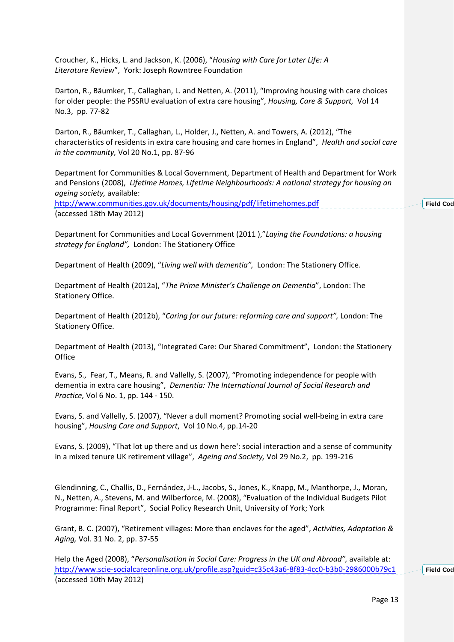Croucher, K., Hicks, L. and Jackson, K. (2006), "Housing with Care for Later Life: A Literature Review", York: Joseph Rowntree Foundation Darton, R., Bäumker, T., Callaghan, L. and Netten, A. (2011), "Improving housing with care choices for older people: the PSSRU evaluation of extra care housing", Housing, Care & Support, Vol 14 No.3, pp. 77-82 Darton, R., Bäumker, T., Callaghan, L., Holder, J., Netten, A. and Towers, A. (2012), "The characteristics of residents in extra care housing and care homes in England", Health and social care in the community, Vol 20 No.1, pp. 87-96 Department for Communities & Local Government, Department of Health and Department for Work and Pensions (2008), Lifetime Homes, Lifetime Neighbourhoods: A national strategy for housing an ageing society, available: http://www.communities.gov.uk/documents/housing/pdf/lifetimehomes.pdf **Field Cod** (accessed 18th May 2012) Department for Communities and Local Government (2011),"Laying the Foundations: a housing strategy for England", London: The Stationery Office Department of Health (2009), "Living well with dementia", London: The Stationery Office. Department of Health (2012a), "The Prime Minister's Challenge on Dementia", London: The Stationery Office. Department of Health (2012b), "Caring for our future: reforming care and support", London: The Stationery Office. Department of Health (2013). "Integrated Care: Our Shared Commitment". London: the Stationery Office Evans, S., Fear, T., Means, R. and Vallelly, S. (2007), "Promoting independence for people with dementia in extra care housing", Dementia: The International Journal of Social Research and Practice, Vol 6 No. 1, pp. 144 - 150. Evans, S. and Vallelly, S. (2007), "Never a dull moment? Promoting social well-being in extra care housing", Housing Care and Support, Vol 10 No.4, pp.14-20 Evans, S. (2009), "That lot up there and us down here': social interaction and a sense of community in a mixed tenure UK retirement village", Ageing and Society, Vol 29 No.2, pp. 199-216 Glendinning, C., Challis, D., Fernández, J-L., Jacobs, S., Jones, K., Knapp, M., Manthorpe, J., Moran, N., Netten, A., Stevens, M. and Wilberforce, M. (2008), "Evaluation of the Individual Budgets Pilot Programme: Final Report", Social Policy Research Unit, University of York; York Grant, B. C. (2007), "Retirement villages: More than enclaves for the aged", Activities, Adaptation & Aging, Vol. 31 No. 2, pp. 37-55 Help the Aged (2008), "Personalisation in Social Care: Progress in the UK and Abroad", available at: http://www.scie-socialcareonline.org.uk/profile.asp?guid=c35c43a6-8f83-4cc0-b3b0-2986000b79c1 **Field Cod** (accessed 10th May 2012)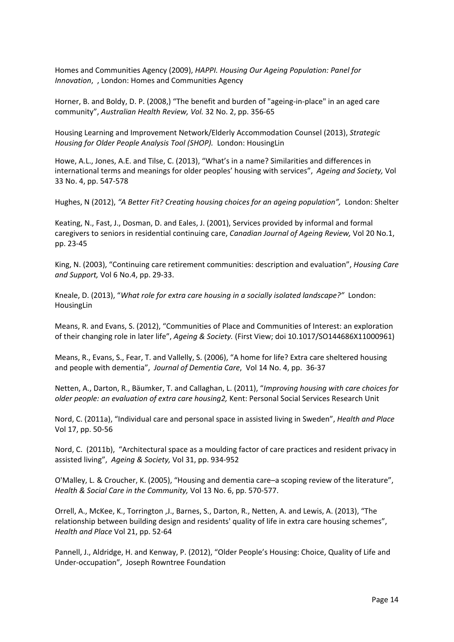Homes and Communities Agency (2009), HAPPI. Housing Our Ageing Population: Panel for Innovation, , London: Homes and Communities Agency

Horner, B. and Boldy, D. P. (2008,) "The benefit and burden of "ageing-in-place" in an aged care community", Australian Health Review, Vol. 32 No. 2, pp. 356-65

Housing Learning and Improvement Network/Elderly Accommodation Counsel (2013), Strategic Housing for Older People Analysis Tool (SHOP). London: Housing Lin

Howe, A.L., Jones, A.E. and Tilse, C. (2013), "What's in a name? Similarities and differences in international terms and meanings for older peoples' housing with services", Ageing and Society, Vol 33 No. 4, pp. 547-578

Hughes, N (2012), "A Better Fit? Creating housing choices for an ageing population", London: Shelter

Keating, N., Fast, J., Dosman, D. and Eales, J. (2001), Services provided by informal and formal caregivers to seniors in residential continuing care, Canadian Journal of Ageing Review, Vol 20 No.1, pp. 23-45

King, N. (2003), "Continuing care retirement communities: description and evaluation", Housing Care and Support, Vol 6 No.4, pp. 29-33.

Kneale, D. (2013), "What role for extra care housing in a socially isolated landscape?" London: HousingLin

Means, R. and Evans, S. (2012), "Communities of Place and Communities of Interest: an exploration of their changing role in later life", Ageing & Society. (First View; doi 10.1017/SO144686X11000961)

Means, R., Evans, S., Fear, T. and Vallelly, S. (2006), "A home for life? Extra care sheltered housing and people with dementia", Journal of Dementia Care, Vol 14 No. 4, pp. 36-37

Netten, A., Darton, R., Bäumker, T. and Callaghan, L. (2011), "Improving housing with care choices for older people: an evaluation of extra care housing2, Kent: Personal Social Services Research Unit

Nord, C. (2011a), "Individual care and personal space in assisted living in Sweden", Health and Place Vol 17, pp. 50-56

Nord, C. (2011b), "Architectural space as a moulding factor of care practices and resident privacy in assisted living", Ageing & Society, Vol 31, pp. 934-952

O'Malley, L. & Croucher, K. (2005), "Housing and dementia care-a scoping review of the literature", Health & Social Care in the Community, Vol 13 No. 6, pp. 570-577.

Orrell, A., McKee, K., Torrington , J., Barnes, S., Darton, R., Netten, A. and Lewis, A. (2013), "The relationship between building design and residents' quality of life in extra care housing schemes", Health and Place Vol 21, pp. 52-64

Pannell, J., Aldridge, H. and Kenway, P. (2012), "Older People's Housing: Choice, Quality of Life and Under-occupation", Joseph Rowntree Foundation